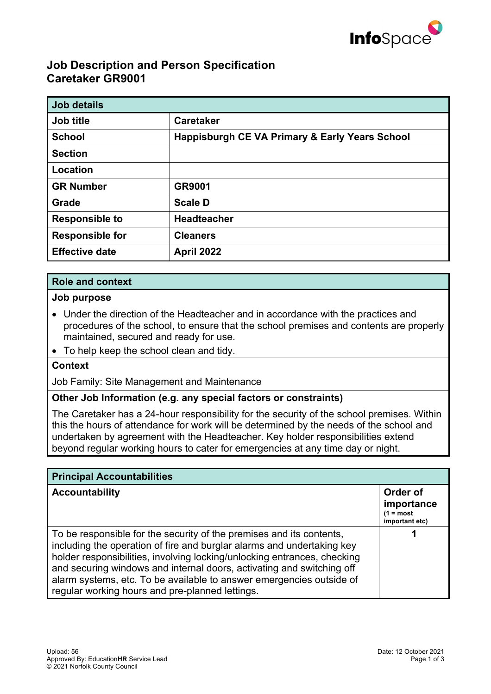

# **Job Description and Person Specification Caretaker GR9001**

| <b>Job details</b>     |                                                           |
|------------------------|-----------------------------------------------------------|
| Job title              | <b>Caretaker</b>                                          |
| <b>School</b>          | <b>Happisburgh CE VA Primary &amp; Early Years School</b> |
| <b>Section</b>         |                                                           |
| Location               |                                                           |
| <b>GR Number</b>       | GR9001                                                    |
| Grade                  | <b>Scale D</b>                                            |
| <b>Responsible to</b>  | <b>Headteacher</b>                                        |
| <b>Responsible for</b> | <b>Cleaners</b>                                           |
| <b>Effective date</b>  | <b>April 2022</b>                                         |

## **Role and context**

#### **Job purpose**

- Under the direction of the Headteacher and in accordance with the practices and procedures of the school, to ensure that the school premises and contents are properly maintained, secured and ready for use.
- To help keep the school clean and tidy.

### **Context**

Job Family: Site Management and Maintenance

## **Other Job Information (e.g. any special factors or constraints)**

The Caretaker has a 24-hour responsibility for the security of the school premises. Within this the hours of attendance for work will be determined by the needs of the school and undertaken by agreement with the Headteacher. Key holder responsibilities extend beyond regular working hours to cater for emergencies at any time day or night.

| <b>Principal Accountabilities</b>                                                                                                                                                                                                                                                                                                                                                                                              |                                                         |  |
|--------------------------------------------------------------------------------------------------------------------------------------------------------------------------------------------------------------------------------------------------------------------------------------------------------------------------------------------------------------------------------------------------------------------------------|---------------------------------------------------------|--|
| <b>Accountability</b>                                                                                                                                                                                                                                                                                                                                                                                                          | Order of<br>importance<br>$(1 = most$<br>important etc) |  |
| To be responsible for the security of the premises and its contents,<br>including the operation of fire and burglar alarms and undertaking key<br>holder responsibilities, involving locking/unlocking entrances, checking<br>and securing windows and internal doors, activating and switching off<br>alarm systems, etc. To be available to answer emergencies outside of<br>regular working hours and pre-planned lettings. |                                                         |  |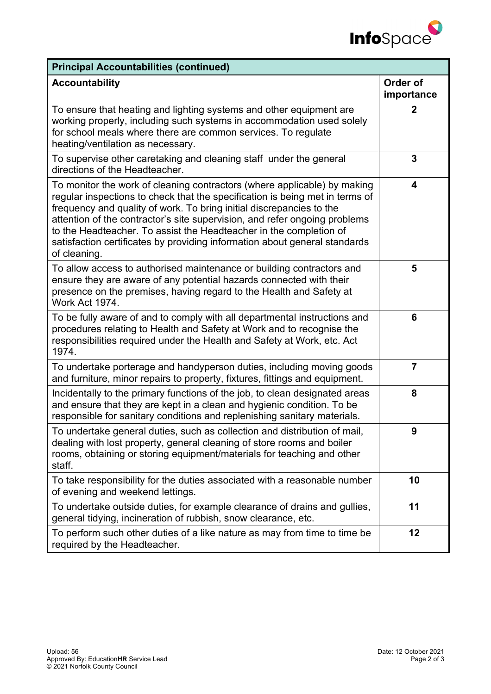

| <b>Principal Accountabilities (continued)</b>                                                                                                                                                                                                                                                                                                                                                                                                                                      |                        |  |
|------------------------------------------------------------------------------------------------------------------------------------------------------------------------------------------------------------------------------------------------------------------------------------------------------------------------------------------------------------------------------------------------------------------------------------------------------------------------------------|------------------------|--|
| <b>Accountability</b>                                                                                                                                                                                                                                                                                                                                                                                                                                                              | Order of<br>importance |  |
| To ensure that heating and lighting systems and other equipment are<br>working properly, including such systems in accommodation used solely<br>for school meals where there are common services. To regulate<br>heating/ventilation as necessary.                                                                                                                                                                                                                                 | $\mathbf 2$            |  |
| To supervise other caretaking and cleaning staff under the general<br>directions of the Headteacher.                                                                                                                                                                                                                                                                                                                                                                               | 3                      |  |
| To monitor the work of cleaning contractors (where applicable) by making<br>regular inspections to check that the specification is being met in terms of<br>frequency and quality of work. To bring initial discrepancies to the<br>attention of the contractor's site supervision, and refer ongoing problems<br>to the Headteacher. To assist the Headteacher in the completion of<br>satisfaction certificates by providing information about general standards<br>of cleaning. | 4                      |  |
| To allow access to authorised maintenance or building contractors and<br>ensure they are aware of any potential hazards connected with their<br>presence on the premises, having regard to the Health and Safety at<br>Work Act 1974.                                                                                                                                                                                                                                              | 5                      |  |
| To be fully aware of and to comply with all departmental instructions and<br>procedures relating to Health and Safety at Work and to recognise the<br>responsibilities required under the Health and Safety at Work, etc. Act<br>1974.                                                                                                                                                                                                                                             | 6                      |  |
| To undertake porterage and handyperson duties, including moving goods<br>and furniture, minor repairs to property, fixtures, fittings and equipment.                                                                                                                                                                                                                                                                                                                               | $\overline{7}$         |  |
| Incidentally to the primary functions of the job, to clean designated areas<br>and ensure that they are kept in a clean and hygienic condition. To be<br>responsible for sanitary conditions and replenishing sanitary materials.                                                                                                                                                                                                                                                  | 8                      |  |
| To undertake general duties, such as collection and distribution of mail,<br>dealing with lost property, general cleaning of store rooms and boiler<br>rooms, obtaining or storing equipment/materials for teaching and other<br>staff.                                                                                                                                                                                                                                            |                        |  |
| To take responsibility for the duties associated with a reasonable number<br>of evening and weekend lettings.                                                                                                                                                                                                                                                                                                                                                                      | 10                     |  |
| To undertake outside duties, for example clearance of drains and gullies,<br>general tidying, incineration of rubbish, snow clearance, etc.                                                                                                                                                                                                                                                                                                                                        | 11                     |  |
| To perform such other duties of a like nature as may from time to time be<br>required by the Headteacher.                                                                                                                                                                                                                                                                                                                                                                          | 12                     |  |